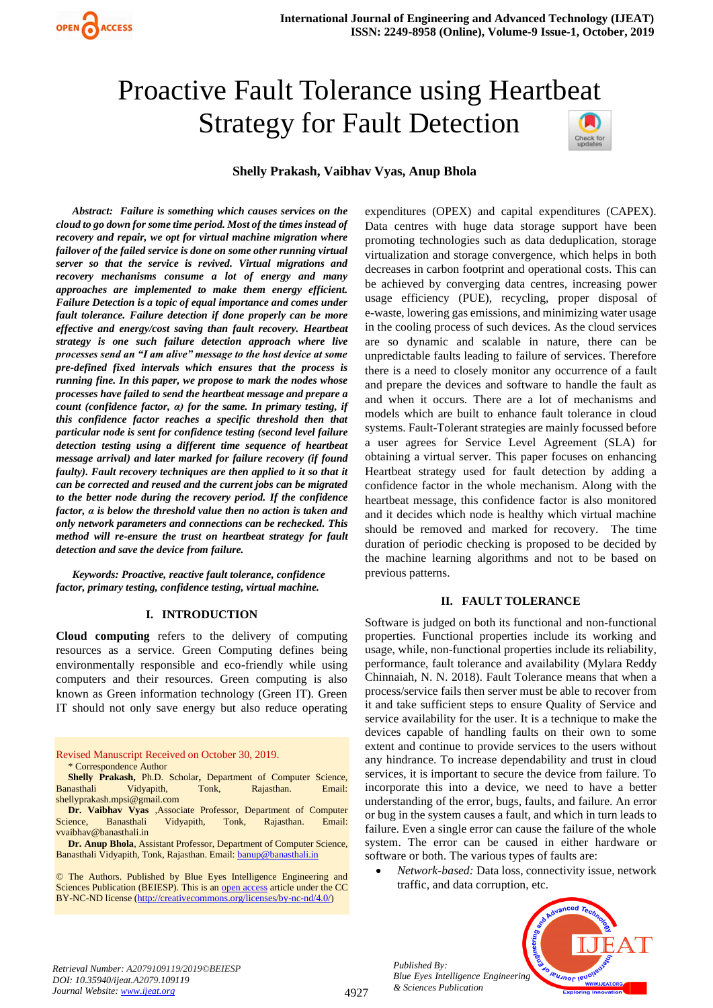# Proactive Fault Tolerance using Heartbeat Strategy for Fault Detection



#### **Shelly Prakash, Vaibhav Vyas, Anup Bhola**

*Abstract: Failure is something which causes services on the cloud to go down for some time period. Most of the times instead of recovery and repair, we opt for virtual machine migration where failover of the failed service is done on some other running virtual server so that the service is revived. Virtual migrations and recovery mechanisms consume a lot of energy and many approaches are implemented to make them energy efficient. Failure Detection is a topic of equal importance and comes under fault tolerance. Failure detection if done properly can be more effective and energy/cost saving than fault recovery. Heartbeat strategy is one such failure detection approach where live processes send an "I am alive" message to the host device at some pre-defined fixed intervals which ensures that the process is running fine. In this paper, we propose to mark the nodes whose processes have failed to send the heartbeat message and prepare a count (confidence factor, α) for the same. In primary testing, if this confidence factor reaches a specific threshold then that particular node is sent for confidence testing (second level failure detection testing using a different time sequence of heartbeat message arrival) and later marked for failure recovery (if found faulty). Fault recovery techniques are then applied to it so that it can be corrected and reused and the current jobs can be migrated to the better node during the recovery period. If the confidence factor, α is below the threshold value then no action is taken and only network parameters and connections can be rechecked. This method will re-ensure the trust on heartbeat strategy for fault detection and save the device from failure.*

*Keywords: Proactive, reactive fault tolerance, confidence factor, primary testing, confidence testing, virtual machine.*

#### **I. INTRODUCTION**

**Cloud computing** refers to the delivery of computing resources as a service. Green Computing defines being environmentally responsible and eco-friendly while using computers and their resources. Green computing is also known as Green information technology (Green IT). Green IT should not only save energy but also reduce operating

#### Revised Manuscript Received on October 30, 2019. \* Correspondence Author

- **Shelly Prakash,** Ph.D. Scholar**,** Department of Computer Science, Banasthali Vidyapith, Tonk, Rajasthan. Email: shellyprakash.mpsi@gmail.com
- **Dr. Vaibhav Vyas** ,Associate Professor, Department of Computer Science, Banasthali Vidyapith, Tonk, Rajasthan. Email: vvaibhav@banasthali.in

**Dr. Anup Bhola**, Assistant Professor, Department of Computer Science, Banasthali Vidyapith, Tonk, Rajasthan. Email[: banup@banasthali.in](mailto:banup@banasthali.in)

© The Authors. Published by Blue Eyes Intelligence Engineering and Sciences Publication (BEIESP). This is an [open access](https://www.openaccess.nl/en/open-publications) article under the CC BY-NC-ND license [\(http://creativecommons.org/licenses/by-nc-nd/4.0/\)](http://creativecommons.org/licenses/by-nc-nd/4.0/)

expenditures (OPEX) and capital expenditures (CAPEX). Data centres with huge data storage support have been promoting technologies such as data deduplication, storage virtualization and storage convergence, which helps in both decreases in carbon footprint and operational costs. This can be achieved by converging data centres, increasing power usage efficiency (PUE), recycling, proper disposal of e-waste, lowering gas emissions, and minimizing water usage in the cooling process of such devices. As the cloud services are so dynamic and scalable in nature, there can be unpredictable faults leading to failure of services. Therefore there is a need to closely monitor any occurrence of a fault and prepare the devices and software to handle the fault as and when it occurs. There are a lot of mechanisms and models which are built to enhance fault tolerance in cloud systems. Fault-Tolerant strategies are mainly focussed before a user agrees for Service Level Agreement (SLA) for obtaining a virtual server. This paper focuses on enhancing Heartbeat strategy used for fault detection by adding a confidence factor in the whole mechanism. Along with the heartbeat message, this confidence factor is also monitored and it decides which node is healthy which virtual machine should be removed and marked for recovery. The time duration of periodic checking is proposed to be decided by the machine learning algorithms and not to be based on previous patterns.

#### **II. FAULT TOLERANCE**

Software is judged on both its functional and non-functional properties. Functional properties include its working and usage, while, non-functional properties include its reliability, performance, fault tolerance and availability (Mylara Reddy Chinnaiah, N. N. 2018). Fault Tolerance means that when a process/service fails then server must be able to recover from it and take sufficient steps to ensure Quality of Service and service availability for the user. It is a technique to make the devices capable of handling faults on their own to some extent and continue to provide services to the users without any hindrance. To increase dependability and trust in cloud services, it is important to secure the device from failure. To incorporate this into a device, we need to have a better understanding of the error, bugs, faults, and failure. An error or bug in the system causes a fault, and which in turn leads to failure. Even a single error can cause the failure of the whole system. The error can be caused in either hardware or software or both. The various types of faults are:

• *Network-based:* Data loss, connectivity issue, network traffic, and data corruption, etc.



*Retrieval Number: A2079109119/2019©BEIESP DOI: 10.35940/ijeat.A2079.109119 Journal Website: [www.ijeat.org](http://www.ijeat.org/)*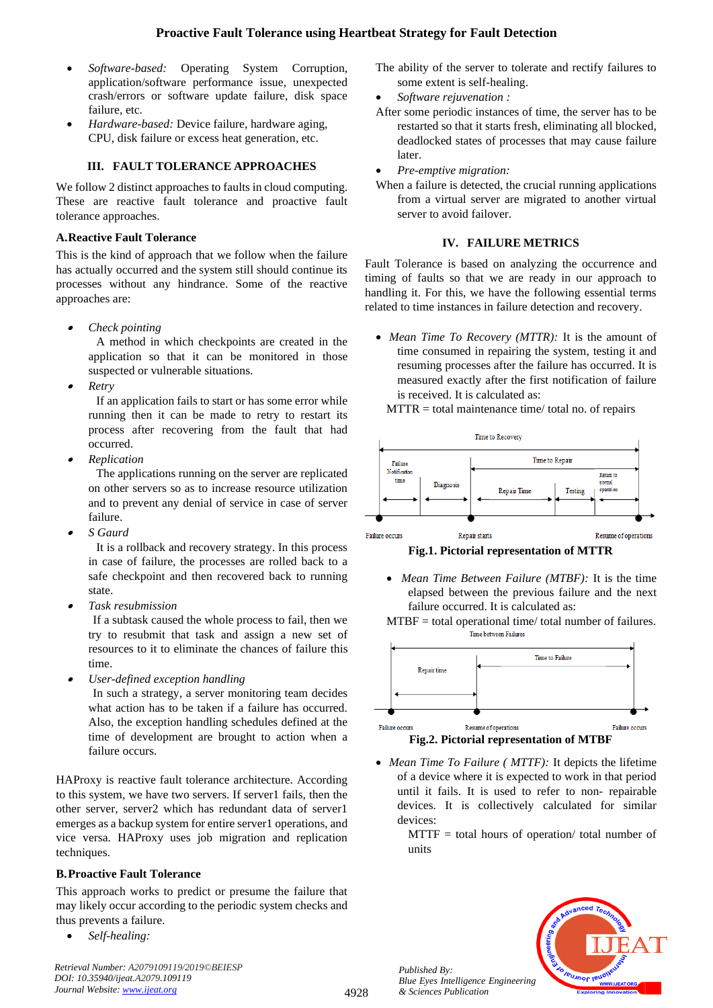- *Software-based:* Operating System Corruption, application/software performance issue, unexpected crash/errors or software update failure, disk space failure, etc.
- *Hardware-based:* Device failure, hardware aging, CPU, disk failure or excess heat generation, etc.

# **III. FAULT TOLERANCE APPROACHES**

We follow 2 distinct approaches to faults in cloud computing. These are reactive fault tolerance and proactive fault tolerance approaches.

## **A.Reactive Fault Tolerance**

This is the kind of approach that we follow when the failure has actually occurred and the system still should continue its processes without any hindrance. Some of the reactive approaches are:

•*Check pointing*

> A method in which checkpoints are created in the application so that it can be monitored in those suspected or vulnerable situations.

•*Retry*

> If an application fails to start or has some error while running then it can be made to retry to restart its process after recovering from the fault that had occurred.

•*Replication* 

The applications running on the server are replicated on other servers so as to increase resource utilization and to prevent any denial of service in case of server failure.

•*S Gaurd*

> It is a rollback and recovery strategy. In this process in case of failure, the processes are rolled back to a safe checkpoint and then recovered back to running state.

•*Task resubmission*

If a subtask caused the whole process to fail, then we try to resubmit that task and assign a new set of resources to it to eliminate the chances of failure this time.

•*User-defined exception handling*

In such a strategy, a server monitoring team decides what action has to be taken if a failure has occurred. Also, the exception handling schedules defined at the time of development are brought to action when a failure occurs.

HAProxy is reactive fault tolerance architecture. According to this system, we have two servers. If server1 fails, then the other server, server2 which has redundant data of server1 emerges as a backup system for entire server1 operations, and vice versa. HAProxy uses job migration and replication techniques.

# **B.Proactive Fault Tolerance**

This approach works to predict or presume the failure that may likely occur according to the periodic system checks and thus prevents a failure.

• *Self-healing:*

The ability of the server to tolerate and rectify failures to some extent is self-healing.

- *Software rejuvenation :*
- After some periodic instances of time, the server has to be restarted so that it starts fresh, eliminating all blocked, deadlocked states of processes that may cause failure later.
- *Pre-emptive migration:*
- When a failure is detected, the crucial running applications from a virtual server are migrated to another virtual server to avoid failover.

## **IV. FAILURE METRICS**

Fault Tolerance is based on analyzing the occurrence and timing of faults so that we are ready in our approach to handling it. For this, we have the following essential terms related to time instances in failure detection and recovery.

• *Mean Time To Recovery (MTTR):* It is the amount of time consumed in repairing the system, testing it and resuming processes after the failure has occurred. It is measured exactly after the first notification of failure is received. It is calculated as:

 $MTTR = total$  maintenance time/ total no. of repairs



Failure occurs

**Fig.1. Pictorial representation of MTTR**

• *Mean Time Between Failure (MTBF):* It is the time elapsed between the previous failure and the next failure occurred. It is calculated as:





- *Mean Time To Failure ( MTTF):* It depicts the lifetime of a device where it is expected to work in that period until it fails. It is used to refer to non- repairable devices. It is collectively calculated for similar devices:
	- $MTTF = total$  hours of operation/ total number of units

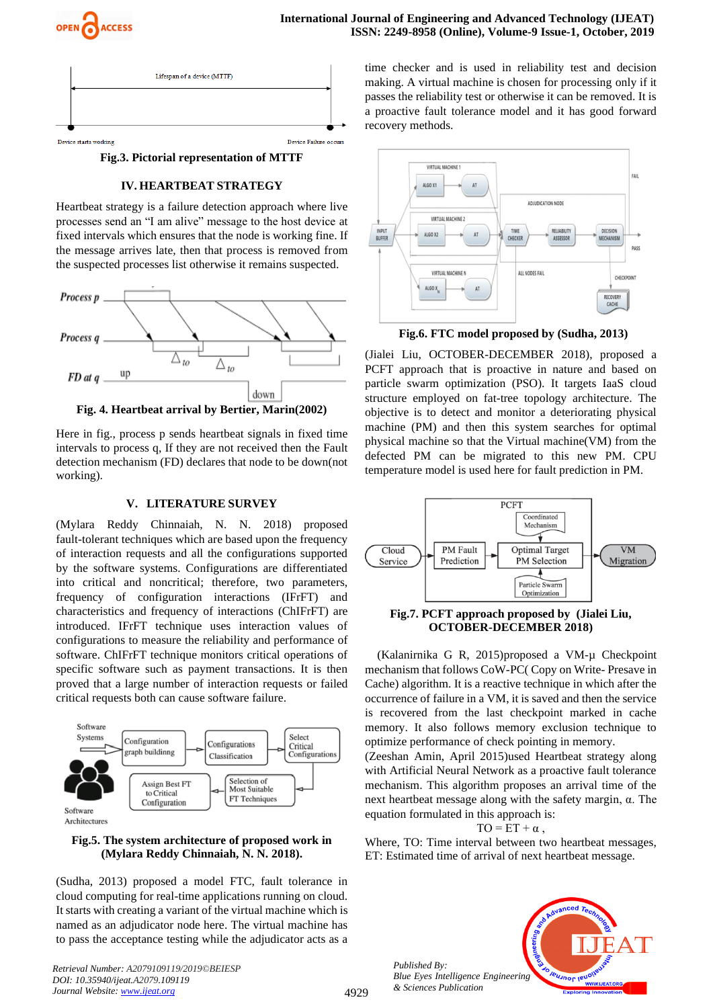



**Fig.3. Pictorial representation of MTTF**

#### **IV. HEARTBEAT STRATEGY**

Heartbeat strategy is a failure detection approach where live processes send an "I am alive" message to the host device at fixed intervals which ensures that the node is working fine. If the message arrives late, then that process is removed from the suspected processes list otherwise it remains suspected.



**Fig. 4. Heartbeat arrival by Bertier, Marin(2002)**

Here in fig., process p sends heartbeat signals in fixed time intervals to process q, If they are not received then the Fault detection mechanism (FD) declares that node to be down(not working).

#### **V. LITERATURE SURVEY**

(Mylara Reddy Chinnaiah, N. N. 2018) proposed fault-tolerant techniques which are based upon the frequency of interaction requests and all the configurations supported by the software systems. Configurations are differentiated into critical and noncritical; therefore, two parameters, frequency of configuration interactions (IFrFT) and characteristics and frequency of interactions (ChIFrFT) are introduced. IFrFT technique uses interaction values of configurations to measure the reliability and performance of software. ChIFrFT technique monitors critical operations of specific software such as payment transactions. It is then proved that a large number of interaction requests or failed critical requests both can cause software failure.



**Fig.5. The system architecture of proposed work in (Mylara Reddy Chinnaiah, N. N. 2018).**

(Sudha, 2013) proposed a model FTC, fault tolerance in cloud computing for real-time applications running on cloud. It starts with creating a variant of the virtual machine which is named as an adjudicator node here. The virtual machine has to pass the acceptance testing while the adjudicator acts as a

*Retrieval Number: A2079109119/2019©BEIESP DOI: 10.35940/ijeat.A2079.109119 Journal Website: [www.ijeat.org](http://www.ijeat.org/)*

time checker and is used in reliability test and decision making. A virtual machine is chosen for processing only if it passes the reliability test or otherwise it can be removed. It is a proactive fault tolerance model and it has good forward recovery methods.



**Fig.6. FTC model proposed by (Sudha, 2013)**

(Jialei Liu, OCTOBER-DECEMBER 2018), proposed a PCFT approach that is proactive in nature and based on particle swarm optimization (PSO). It targets IaaS cloud structure employed on fat-tree topology architecture. The objective is to detect and monitor a deteriorating physical machine (PM) and then this system searches for optimal physical machine so that the Virtual machine(VM) from the defected PM can be migrated to this new PM. CPU temperature model is used here for fault prediction in PM.



#### **Fig.7. PCFT approach proposed by (Jialei Liu, OCTOBER-DECEMBER 2018)**

(Kalanirnika G R, 2015)proposed a VM-µ Checkpoint mechanism that follows CoW-PC( Copy on Write- Presave in Cache) algorithm. It is a reactive technique in which after the occurrence of failure in a VM, it is saved and then the service is recovered from the last checkpoint marked in cache memory. It also follows memory exclusion technique to optimize performance of check pointing in memory.

(Zeeshan Amin, April 2015)used Heartbeat strategy along with Artificial Neural Network as a proactive fault tolerance mechanism. This algorithm proposes an arrival time of the next heartbeat message along with the safety margin, α. The equation formulated in this approach is:

$$
TO = ET + \alpha ,
$$

Where, TO: Time interval between two heartbeat messages, ET: Estimated time of arrival of next heartbeat message.

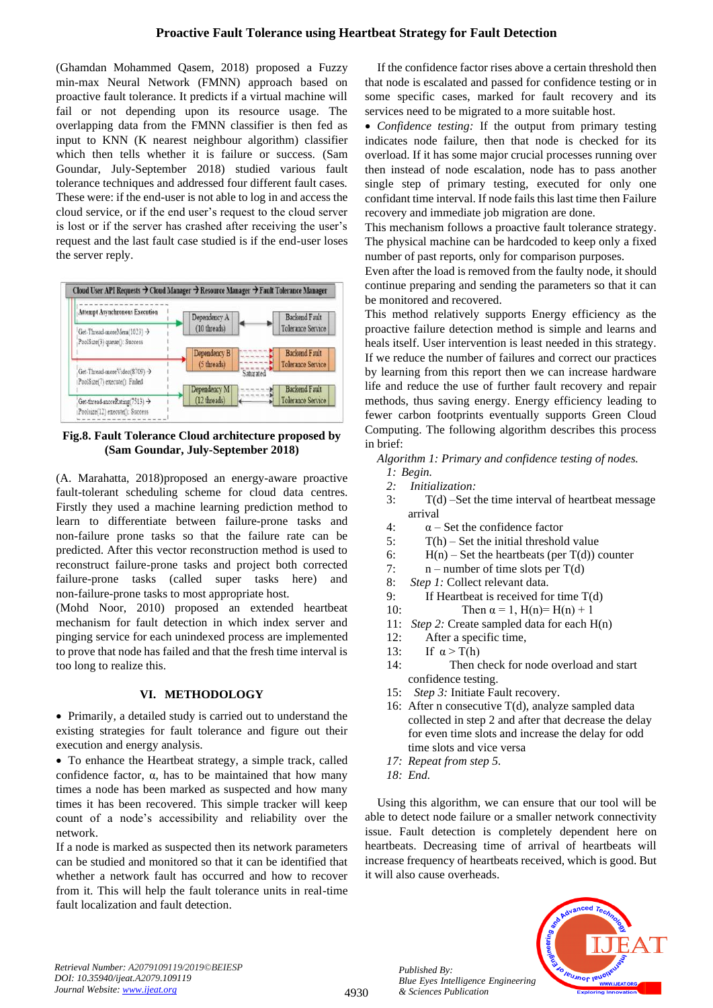(Ghamdan Mohammed Qasem, 2018) proposed a Fuzzy min-max Neural Network (FMNN) approach based on proactive fault tolerance. It predicts if a virtual machine will fail or not depending upon its resource usage. The overlapping data from the FMNN classifier is then fed as input to KNN (K nearest neighbour algorithm) classifier which then tells whether it is failure or success. (Sam Goundar, July-September 2018) studied various fault tolerance techniques and addressed four different fault cases. These were: if the end-user is not able to log in and access the cloud service, or if the end user's request to the cloud server is lost or if the server has crashed after receiving the user's request and the last fault case studied is if the end-user loses the server reply.



**Fig.8. Fault Tolerance Cloud architecture proposed by (Sam Goundar, July-September 2018)**

(A. Marahatta, 2018)proposed an energy-aware proactive fault-tolerant scheduling scheme for cloud data centres. Firstly they used a machine learning prediction method to learn to differentiate between failure-prone tasks and non-failure prone tasks so that the failure rate can be predicted. After this vector reconstruction method is used to reconstruct failure-prone tasks and project both corrected failure-prone tasks (called super tasks here) and non-failure-prone tasks to most appropriate host.

(Mohd Noor, 2010) proposed an extended heartbeat mechanism for fault detection in which index server and pinging service for each unindexed process are implemented to prove that node has failed and that the fresh time interval is too long to realize this.

# **VI. METHODOLOGY**

• Primarily, a detailed study is carried out to understand the existing strategies for fault tolerance and figure out their execution and energy analysis.

• To enhance the Heartbeat strategy, a simple track, called confidence factor,  $\alpha$ , has to be maintained that how many times a node has been marked as suspected and how many times it has been recovered. This simple tracker will keep count of a node's accessibility and reliability over the network.

If a node is marked as suspected then its network parameters can be studied and monitored so that it can be identified that whether a network fault has occurred and how to recover from it. This will help the fault tolerance units in real-time fault localization and fault detection.

If the confidence factor rises above a certain threshold then that node is escalated and passed for confidence testing or in some specific cases, marked for fault recovery and its services need to be migrated to a more suitable host.

• *Confidence testing:* If the output from primary testing indicates node failure, then that node is checked for its overload. If it has some major crucial processes running over then instead of node escalation, node has to pass another single step of primary testing, executed for only one confidant time interval. If node fails this last time then Failure recovery and immediate job migration are done.

This mechanism follows a proactive fault tolerance strategy. The physical machine can be hardcoded to keep only a fixed number of past reports, only for comparison purposes.

Even after the load is removed from the faulty node, it should continue preparing and sending the parameters so that it can be monitored and recovered.

This method relatively supports Energy efficiency as the proactive failure detection method is simple and learns and heals itself. User intervention is least needed in this strategy. If we reduce the number of failures and correct our practices by learning from this report then we can increase hardware life and reduce the use of further fault recovery and repair methods, thus saving energy. Energy efficiency leading to fewer carbon footprints eventually supports Green Cloud Computing. The following algorithm describes this process in brief:

*Algorithm 1: Primary and confidence testing of nodes.*

- *1: Begin.*
- *2: Initialization:*
- 3: T(d) –Set the time interval of heartbeat message arrival
- 4:  $\alpha$  Set the confidence factor
- 5: T(h) Set the initial threshold value
- 6:  $H(n)$  Set the heartbeats (per T(d)) counter
- 7:  $n$  number of time slots per T(d)
- 8: *Step 1:* Collect relevant data.
- 9: If Heartbeat is received for time T(d)
- 10: Then  $\alpha = 1$ ,  $H(n)=H(n) + 1$
- 11: *Step 2:* Create sampled data for each H(n)
- 12: After a specific time,
- 13: If  $\alpha > T(h)$
- 14: Then check for node overload and start confidence testing.
- 15:*Step 3:* Initiate Fault recovery.
- 16: After n consecutive  $T(d)$ , analyze sampled data collected in step 2 and after that decrease the delay for even time slots and increase the delay for odd time slots and vice versa
- *17: Repeat from step 5.*
- *18: End.*

*Published By:*

*& Sciences Publication* 

Using this algorithm, we can ensure that our tool will be able to detect node failure or a smaller network connectivity issue. Fault detection is completely dependent here on heartbeats. Decreasing time of arrival of heartbeats will increase frequency of heartbeats received, which is good. But it will also cause overheads.



*Retrieval Number: A2079109119/2019©BEIESP DOI: 10.35940/ijeat.A2079.109119 Journal Website[: www.ijeat.org](http://www.ijeat.org/)*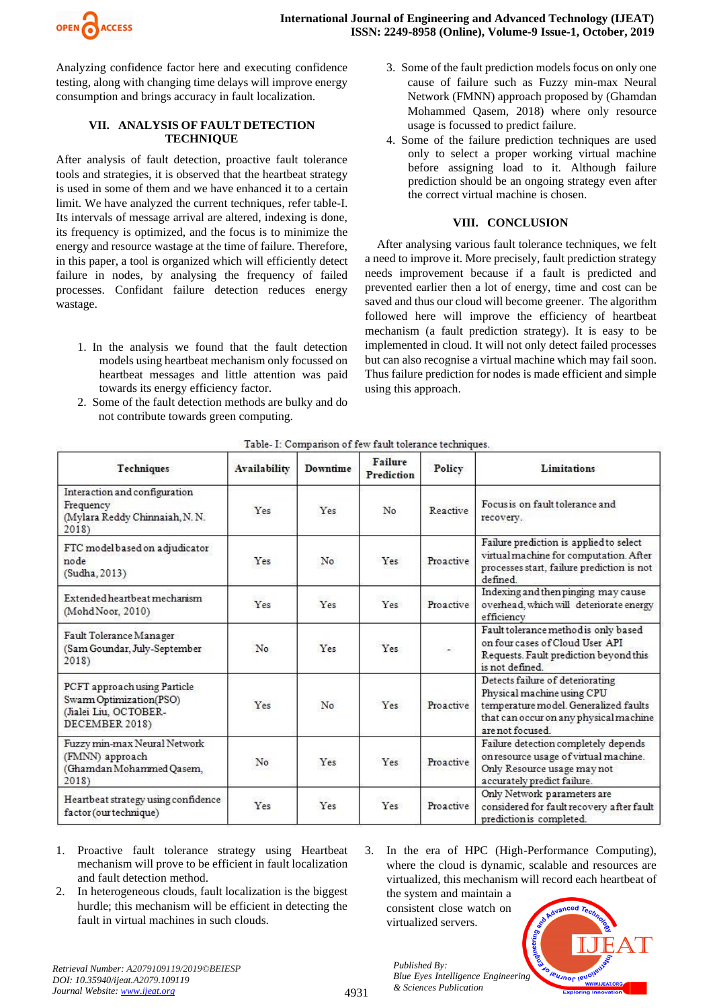

Analyzing confidence factor here and executing confidence testing, along with changing time delays will improve energy consumption and brings accuracy in fault localization.

## **VII. ANALYSIS OF FAULT DETECTION TECHNIQUE**

After analysis of fault detection, proactive fault tolerance tools and strategies, it is observed that the heartbeat strategy is used in some of them and we have enhanced it to a certain limit. We have analyzed the current techniques, refer table-I. Its intervals of message arrival are altered, indexing is done, its frequency is optimized, and the focus is to minimize the energy and resource wastage at the time of failure. Therefore, in this paper, a tool is organized which will efficiently detect failure in nodes, by analysing the frequency of failed processes. Confidant failure detection reduces energy wastage.

- 1. In the analysis we found that the fault detection models using heartbeat mechanism only focussed on heartbeat messages and little attention was paid towards its energy efficiency factor.
- 2. Some of the fault detection methods are bulky and do not contribute towards green computing.
- 3. Some of the fault prediction models focus on only one cause of failure such as Fuzzy min-max Neural Network (FMNN) approach proposed by (Ghamdan Mohammed Qasem, 2018) where only resource usage is focussed to predict failure.
- 4. Some of the failure prediction techniques are used only to select a proper working virtual machine before assigning load to it. Although failure prediction should be an ongoing strategy even after the correct virtual machine is chosen.

#### **VIII. CONCLUSION**

After analysing various fault tolerance techniques, we felt a need to improve it. More precisely, fault prediction strategy needs improvement because if a fault is predicted and prevented earlier then a lot of energy, time and cost can be saved and thus our cloud will become greener. The algorithm followed here will improve the efficiency of heartbeat mechanism (a fault prediction strategy). It is easy to be implemented in cloud. It will not only detect failed processes but can also recognise a virtual machine which may fail soon. Thus failure prediction for nodes is made efficient and simple using this approach.

| Techniques                                                                                         | <b>Availability</b> | Downtime | Failure<br>Prediction | Policy    | Limitations                                                                                                                                                          |  |  |  |
|----------------------------------------------------------------------------------------------------|---------------------|----------|-----------------------|-----------|----------------------------------------------------------------------------------------------------------------------------------------------------------------------|--|--|--|
| Interaction and configuration<br>Frequency<br>(Mylara Reddy Chinnaiah, N. N.<br>2018)              | Yes                 | Yes      | No                    | Reactive  | Focus is on fault tolerance and<br>recovery.                                                                                                                         |  |  |  |
| FTC model based on adjudicator<br>node<br>(Sudha, 2013)                                            | Yes                 | No.      | Yes                   | Proactive | Failure prediction is applied to select<br>virtual machine for computation. After<br>processes start, failure prediction is not<br>defined                           |  |  |  |
| Extended heartbeat mechanism<br>(MohdNoor, 2010)                                                   | Yes                 | Yes      | Yes                   | Proactive | Indexing and then pinging may cause<br>overhead, which will deteriorate energy<br>efficiency                                                                         |  |  |  |
| Fault Tolerance Manager<br>(Sam Goundar, July-September<br>2018)                                   | No                  | Yes      | Yes                   | $\sim$    | Fault tolerance method is only based<br>on four cases of Cloud User API<br>Requests. Fault prediction beyond this<br>is not defined                                  |  |  |  |
| PCFT approach using Particle<br>Swarm Optimization(PSO)<br>(Jialei Liu, OCTOBER-<br>DECEMBER 2018) | Yes                 | No       | Yes                   | Proactive | Detects failure of deteriorating<br>Physical machine using CPU<br>temperature model. Generalized faults<br>that can occur on any physical machine<br>are not focused |  |  |  |
| Fuzzy min-max Neural Network<br>(FMNN) approach<br>(Ghamdan Mohammed Qasem,<br>2018)               | No                  | Yes      | Yes                   | Proactive | Failure detection completely depends<br>on resource usage of virtual machine.<br>Only Resource usage may not<br>accurately predict failure.                          |  |  |  |
| Heartbeat strategy using confidence<br>factor (our technique)                                      | Yes                 | Yes      | Yes                   | Proactive | Only Network parameters are<br>considered for fault recovery after fault<br>prediction is completed.                                                                 |  |  |  |

|  |  |  |  | Table- I: Comparison of few fault tolerance techniques |  |  |
|--|--|--|--|--------------------------------------------------------|--|--|
|  |  |  |  |                                                        |  |  |
|  |  |  |  |                                                        |  |  |

- 1. Proactive fault tolerance strategy using Heartbeat mechanism will prove to be efficient in fault localization and fault detection method.
- 2. In heterogeneous clouds, fault localization is the biggest hurdle; this mechanism will be efficient in detecting the fault in virtual machines in such clouds.

3. In the era of HPC (High-Performance Computing), where the cloud is dynamic, scalable and resources are virtualized, this mechanism will record each heartbeat of

the system and maintain a consistent close watch on virtualized servers.